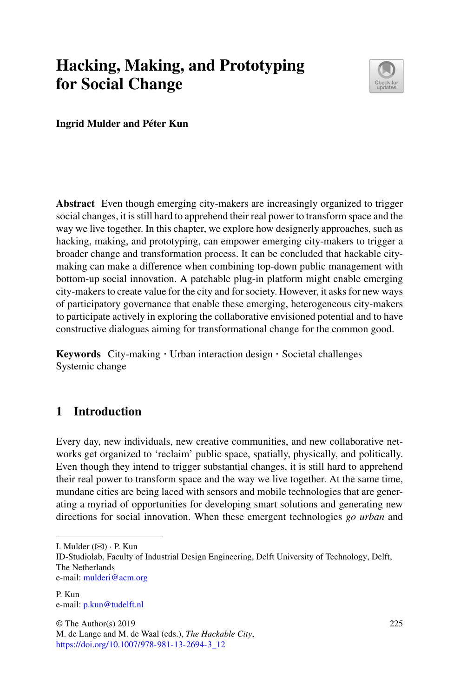# **Hacking, Making, and Prototyping for Social Change**



**Ingrid Mulder and Péter Kun**

**Abstract** Even though emerging city-makers are increasingly organized to trigger social changes, it is still hard to apprehend their real power to transform space and the way we live together. In this chapter, we explore how designerly approaches, such as hacking, making, and prototyping, can empower emerging city-makers to trigger a broader change and transformation process. It can be concluded that hackable citymaking can make a difference when combining top-down public management with bottom-up social innovation. A patchable plug-in platform might enable emerging city-makers to create value for the city and for society. However, it asks for new ways of participatory governance that enable these emerging, heterogeneous city-makers to participate actively in exploring the collaborative envisioned potential and to have constructive dialogues aiming for transformational change for the common good.

**Keywords** City-making · Urban interaction design · Societal challenges Systemic change

# **1 Introduction**

Every day, new individuals, new creative communities, and new collaborative networks get organized to 'reclaim' public space, spatially, physically, and politically. Even though they intend to trigger substantial changes, it is still hard to apprehend their real power to transform space and the way we live together. At the same time, mundane cities are being laced with sensors and mobile technologies that are generating a myriad of opportunities for developing smart solutions and generating new directions for social innovation. When these emergent technologies *go urban* and

© The Author(s) 2019 M. de Lange and M. de Waal (eds.), *The Hackable City*, [https://doi.org/10.1007/978-981-13-2694-3\\_12](https://doi.org/10.1007/978-981-13-2694-3_12)

I. Mulder  $(\boxtimes) \cdot$  P. Kun

ID-Studiolab, Faculty of Industrial Design Engineering, Delft University of Technology, Delft, The Netherlands e-mail: [mulderi@acm.org](mailto:mulderi@acm.org)

P. Kun e-mail: [p.kun@tudelft.nl](mailto:p.kun@tudelft.nl)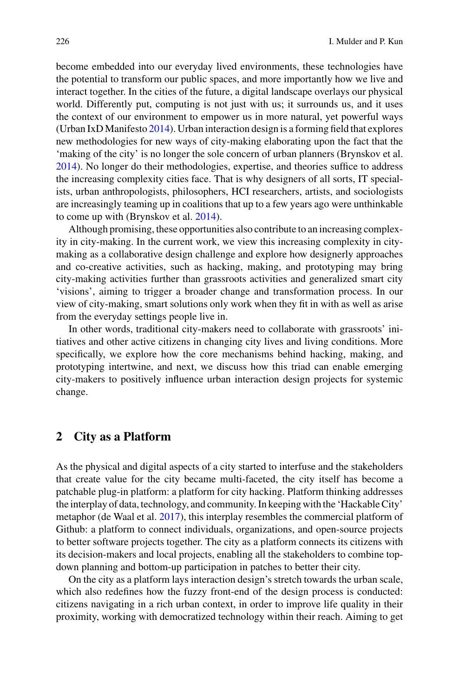become embedded into our everyday lived environments, these technologies have the potential to transform our public spaces, and more importantly how we live and interact together. In the cities of the future, a digital landscape overlays our physical world. Differently put, computing is not just with us; it surrounds us, and it uses the context of our environment to empower us in more natural, yet powerful ways (Urban IxD Manifesto [2014\)](#page-12-0). Urban interaction design is a forming field that explores new methodologies for new ways of city-making elaborating upon the fact that the 'making of the city' is no longer the sole concern of urban planners (Brynskov et al. [2014\)](#page-11-0). No longer do their methodologies, expertise, and theories suffice to address the increasing complexity cities face. That is why designers of all sorts, IT specialists, urban anthropologists, philosophers, HCI researchers, artists, and sociologists are increasingly teaming up in coalitions that up to a few years ago were unthinkable to come up with (Brynskov et al. [2014\)](#page-11-0).

Although promising, these opportunities also contribute to an increasing complexity in city-making. In the current work, we view this increasing complexity in citymaking as a collaborative design challenge and explore how designerly approaches and co-creative activities, such as hacking, making, and prototyping may bring city-making activities further than grassroots activities and generalized smart city 'visions', aiming to trigger a broader change and transformation process. In our view of city-making, smart solutions only work when they fit in with as well as arise from the everyday settings people live in.

In other words, traditional city-makers need to collaborate with grassroots' initiatives and other active citizens in changing city lives and living conditions. More specifically, we explore how the core mechanisms behind hacking, making, and prototyping intertwine, and next, we discuss how this triad can enable emerging city-makers to positively influence urban interaction design projects for systemic change.

#### **2 City as a Platform**

As the physical and digital aspects of a city started to interfuse and the stakeholders that create value for the city became multi-faceted, the city itself has become a patchable plug-in platform: a platform for city hacking. Platform thinking addresses the interplay of data, technology, and community. In keeping with the 'Hackable City' metaphor (de Waal et al. [2017\)](#page-11-1), this interplay resembles the commercial platform of Github: a platform to connect individuals, organizations, and open-source projects to better software projects together. The city as a platform connects its citizens with its decision-makers and local projects, enabling all the stakeholders to combine topdown planning and bottom-up participation in patches to better their city.

On the city as a platform lays interaction design's stretch towards the urban scale, which also redefines how the fuzzy front-end of the design process is conducted: citizens navigating in a rich urban context, in order to improve life quality in their proximity, working with democratized technology within their reach. Aiming to get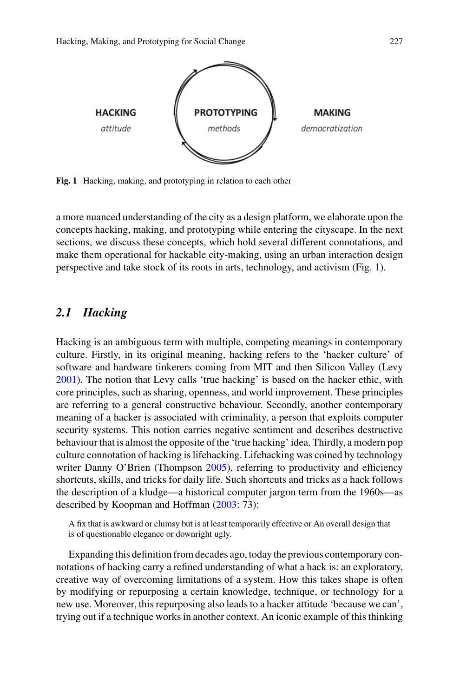

<span id="page-2-0"></span>**Fig. 1** Hacking, making, and prototyping in relation to each other

a more nuanced understanding of the city as a design platform, we elaborate upon the concepts hacking, making, and prototyping while entering the cityscape. In the next sections, we discuss these concepts, which hold several different connotations, and make them operational for hackable city-making, using an urban interaction design perspective and take stock of its roots in arts, technology, and activism (Fig. [1\)](#page-2-0).

# *2.1 Hacking*

Hacking is an ambiguous term with multiple, competing meanings in contemporary culture. Firstly, in its original meaning, hacking refers to the 'hacker culture' of software and hardware tinkerers coming from MIT and then Silicon Valley (Levy [2001\)](#page-11-2). The notion that Levy calls 'true hacking' is based on the hacker ethic, with core principles, such as sharing, openness, and world improvement. These principles are referring to a general constructive behaviour. Secondly, another contemporary meaning of a hacker is associated with criminality, a person that exploits computer security systems. This notion carries negative sentiment and describes destructive behaviour that is almost the opposite of the 'true hacking' idea. Thirdly, a modern pop culture connotation of hacking is lifehacking. Lifehacking was coined by technology writer Danny O'Brien (Thompson [2005\)](#page-12-1), referring to productivity and efficiency shortcuts, skills, and tricks for daily life. Such shortcuts and tricks as a hack follows the description of a kludge—a historical computer jargon term from the 1960s—as described by Koopman and Hoffman [\(2003:](#page-11-3) 73):

A fix that is awkward or clumsy but is at least temporarily effective or An overall design that is of questionable elegance or downright ugly.

Expanding this definition from decades ago, today the previous contemporary connotations of hacking carry a refined understanding of what a hack is: an exploratory, creative way of overcoming limitations of a system. How this takes shape is often by modifying or repurposing a certain knowledge, technique, or technology for a new use. Moreover, this repurposing also leads to a hacker attitude 'because we can', trying out if a technique works in another context. An iconic example of this thinking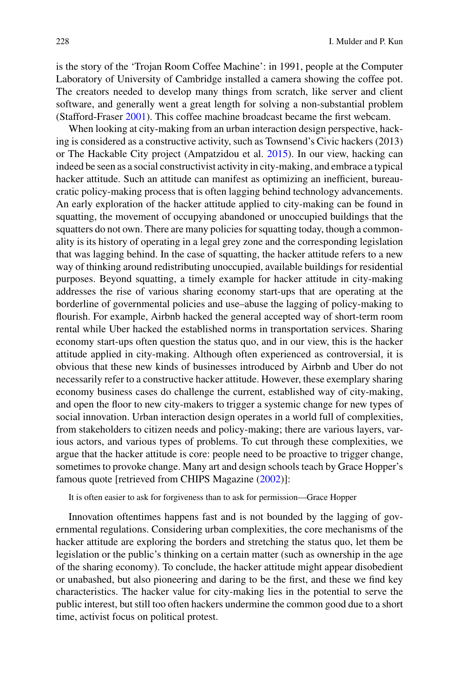is the story of the 'Trojan Room Coffee Machine': in 1991, people at the Computer Laboratory of University of Cambridge installed a camera showing the coffee pot. The creators needed to develop many things from scratch, like server and client software, and generally went a great length for solving a non-substantial problem (Stafford-Fraser [2001\)](#page-12-2). This coffee machine broadcast became the first webcam.

When looking at city-making from an urban interaction design perspective, hacking is considered as a constructive activity, such as Townsend's Civic hackers (2013) or The Hackable City project (Ampatzidou et al. [2015\)](#page-11-4). In our view, hacking can indeed be seen as a social constructivist activity in city-making, and embrace a typical hacker attitude. Such an attitude can manifest as optimizing an inefficient, bureaucratic policy-making process that is often lagging behind technology advancements. An early exploration of the hacker attitude applied to city-making can be found in squatting, the movement of occupying abandoned or unoccupied buildings that the squatters do not own. There are many policies for squatting today, though a commonality is its history of operating in a legal grey zone and the corresponding legislation that was lagging behind. In the case of squatting, the hacker attitude refers to a new way of thinking around redistributing unoccupied, available buildings for residential purposes. Beyond squatting, a timely example for hacker attitude in city-making addresses the rise of various sharing economy start-ups that are operating at the borderline of governmental policies and use–abuse the lagging of policy-making to flourish. For example, Airbnb hacked the general accepted way of short-term room rental while Uber hacked the established norms in transportation services. Sharing economy start-ups often question the status quo, and in our view, this is the hacker attitude applied in city-making. Although often experienced as controversial, it is obvious that these new kinds of businesses introduced by Airbnb and Uber do not necessarily refer to a constructive hacker attitude. However, these exemplary sharing economy business cases do challenge the current, established way of city-making, and open the floor to new city-makers to trigger a systemic change for new types of social innovation. Urban interaction design operates in a world full of complexities, from stakeholders to citizen needs and policy-making; there are various layers, various actors, and various types of problems. To cut through these complexities, we argue that the hacker attitude is core: people need to be proactive to trigger change, sometimes to provoke change. Many art and design schools teach by Grace Hopper's famous quote [retrieved from CHIPS Magazine [\(2002\)](#page-11-5)]:

It is often easier to ask for forgiveness than to ask for permission—Grace Hopper

Innovation oftentimes happens fast and is not bounded by the lagging of governmental regulations. Considering urban complexities, the core mechanisms of the hacker attitude are exploring the borders and stretching the status quo, let them be legislation or the public's thinking on a certain matter (such as ownership in the age of the sharing economy). To conclude, the hacker attitude might appear disobedient or unabashed, but also pioneering and daring to be the first, and these we find key characteristics. The hacker value for city-making lies in the potential to serve the public interest, but still too often hackers undermine the common good due to a short time, activist focus on political protest.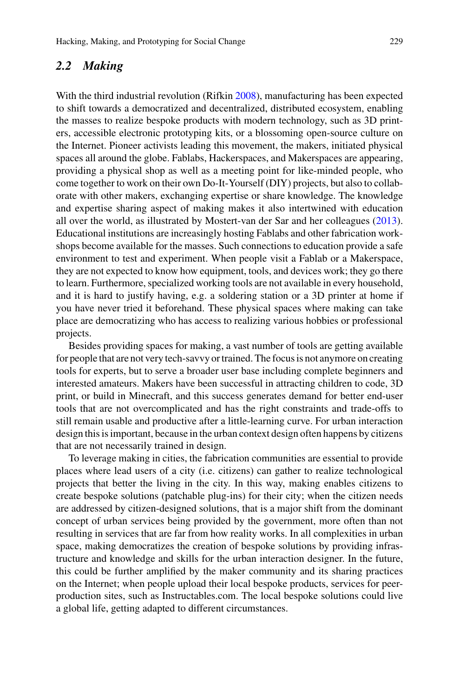# *2.2 Making*

With the third industrial revolution (Rifkin [2008\)](#page-12-3), manufacturing has been expected to shift towards a democratized and decentralized, distributed ecosystem, enabling the masses to realize bespoke products with modern technology, such as 3D printers, accessible electronic prototyping kits, or a blossoming open-source culture on the Internet. Pioneer activists leading this movement, the makers, initiated physical spaces all around the globe. Fablabs, Hackerspaces, and Makerspaces are appearing, providing a physical shop as well as a meeting point for like-minded people, who come together to work on their own Do-It-Yourself (DIY) projects, but also to collaborate with other makers, exchanging expertise or share knowledge. The knowledge and expertise sharing aspect of making makes it also intertwined with education all over the world, as illustrated by Mostert-van der Sar and her colleagues [\(2013\)](#page-11-6). Educational institutions are increasingly hosting Fablabs and other fabrication workshops become available for the masses. Such connections to education provide a safe environment to test and experiment. When people visit a Fablab or a Makerspace, they are not expected to know how equipment, tools, and devices work; they go there to learn. Furthermore, specialized working tools are not available in every household, and it is hard to justify having, e.g. a soldering station or a 3D printer at home if you have never tried it beforehand. These physical spaces where making can take place are democratizing who has access to realizing various hobbies or professional projects.

Besides providing spaces for making, a vast number of tools are getting available for people that are not very tech-savvy or trained. The focus is not anymore on creating tools for experts, but to serve a broader user base including complete beginners and interested amateurs. Makers have been successful in attracting children to code, 3D print, or build in Minecraft, and this success generates demand for better end-user tools that are not overcomplicated and has the right constraints and trade-offs to still remain usable and productive after a little-learning curve. For urban interaction design this is important, because in the urban context design often happens by citizens that are not necessarily trained in design.

To leverage making in cities, the fabrication communities are essential to provide places where lead users of a city (i.e. citizens) can gather to realize technological projects that better the living in the city. In this way, making enables citizens to create bespoke solutions (patchable plug-ins) for their city; when the citizen needs are addressed by citizen-designed solutions, that is a major shift from the dominant concept of urban services being provided by the government, more often than not resulting in services that are far from how reality works. In all complexities in urban space, making democratizes the creation of bespoke solutions by providing infrastructure and knowledge and skills for the urban interaction designer. In the future, this could be further amplified by the maker community and its sharing practices on the Internet; when people upload their local bespoke products, services for peerproduction sites, such as Instructables.com. The local bespoke solutions could live a global life, getting adapted to different circumstances.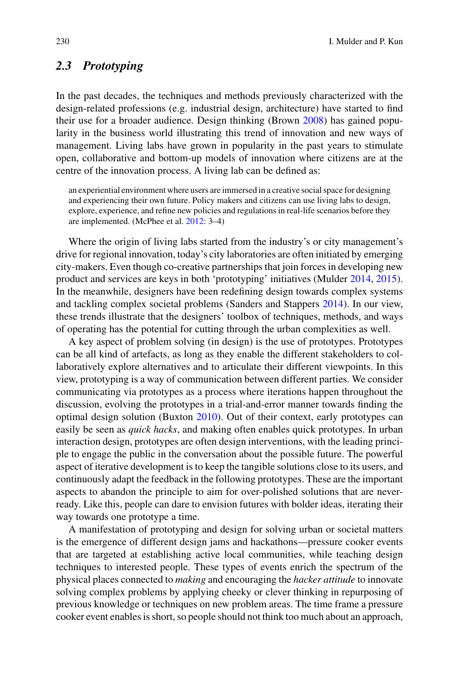# *2.3 Prototyping*

In the past decades, the techniques and methods previously characterized with the design-related professions (e.g. industrial design, architecture) have started to find their use for a broader audience. Design thinking (Brown [2008\)](#page-11-7) has gained popularity in the business world illustrating this trend of innovation and new ways of management. Living labs have grown in popularity in the past years to stimulate open, collaborative and bottom-up models of innovation where citizens are at the centre of the innovation process. A living lab can be defined as:

an experiential environment where users are immersed in a creative social space for designing and experiencing their own future. Policy makers and citizens can use living labs to design, explore, experience, and refine new policies and regulations in real-life scenarios before they are implemented. (McPhee et al. [2012:](#page-11-8) 3–4)

Where the origin of living labs started from the industry's or city management's drive for regional innovation, today's city laboratories are often initiated by emerging city-makers. Even though co-creative partnerships that join forces in developing new product and services are keys in both 'prototyping' initiatives (Mulder [2014,](#page-12-4) [2015\)](#page-12-5). In the meanwhile, designers have been redefining design towards complex systems and tackling complex societal problems (Sanders and Stappers [2014\)](#page-12-6). In our view, these trends illustrate that the designers' toolbox of techniques, methods, and ways of operating has the potential for cutting through the urban complexities as well.

A key aspect of problem solving (in design) is the use of prototypes. Prototypes can be all kind of artefacts, as long as they enable the different stakeholders to collaboratively explore alternatives and to articulate their different viewpoints. In this view, prototyping is a way of communication between different parties. We consider communicating via prototypes as a process where iterations happen throughout the discussion, evolving the prototypes in a trial-and-error manner towards finding the optimal design solution (Buxton  $2010$ ). Out of their context, early prototypes can easily be seen as *quick hacks*, and making often enables quick prototypes. In urban interaction design, prototypes are often design interventions, with the leading principle to engage the public in the conversation about the possible future. The powerful aspect of iterative development is to keep the tangible solutions close to its users, and continuously adapt the feedback in the following prototypes. These are the important aspects to abandon the principle to aim for over-polished solutions that are neverready. Like this, people can dare to envision futures with bolder ideas, iterating their way towards one prototype a time.

A manifestation of prototyping and design for solving urban or societal matters is the emergence of different design jams and hackathons—pressure cooker events that are targeted at establishing active local communities, while teaching design techniques to interested people. These types of events enrich the spectrum of the physical places connected to *making* and encouraging the *hacker attitude* to innovate solving complex problems by applying cheeky or clever thinking in repurposing of previous knowledge or techniques on new problem areas. The time frame a pressure cooker event enables is short, so people should not think too much about an approach,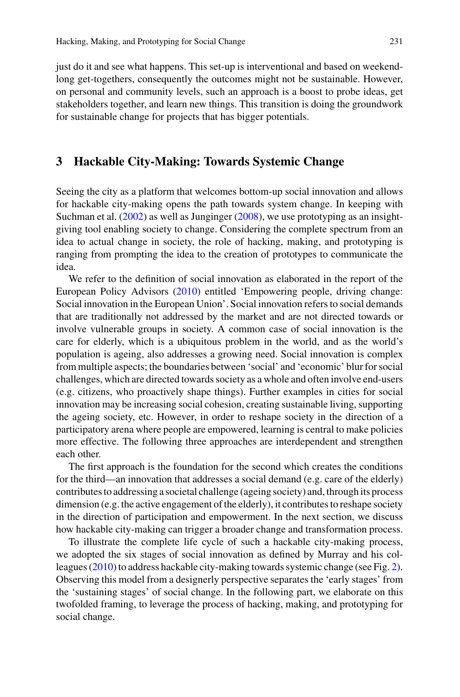just do it and see what happens. This set-up is interventional and based on weekendlong get-togethers, consequently the outcomes might not be sustainable. However, on personal and community levels, such an approach is a boost to probe ideas, get stakeholders together, and learn new things. This transition is doing the groundwork for sustainable change for projects that has bigger potentials.

#### **3 Hackable City-Making: Towards Systemic Change**

Seeing the city as a platform that welcomes bottom-up social innovation and allows for hackable city-making opens the path towards system change. In keeping with Suchman et al. [\(2002\)](#page-12-7) as well as Junginger [\(2008\)](#page-11-10), we use prototyping as an insightgiving tool enabling society to change. Considering the complete spectrum from an idea to actual change in society, the role of hacking, making, and prototyping is ranging from prompting the idea to the creation of prototypes to communicate the idea.

We refer to the definition of social innovation as elaborated in the report of the European Policy Advisors [\(2010\)](#page-11-11) entitled 'Empowering people, driving change: Social innovation in the European Union'. Social innovation refers to social demands that are traditionally not addressed by the market and are not directed towards or involve vulnerable groups in society. A common case of social innovation is the care for elderly, which is a ubiquitous problem in the world, and as the world's population is ageing, also addresses a growing need. Social innovation is complex from multiple aspects; the boundaries between 'social' and 'economic' blur for social challenges, which are directed towards society as a whole and often involve end-users (e.g. citizens, who proactively shape things). Further examples in cities for social innovation may be increasing social cohesion, creating sustainable living, supporting the ageing society, etc. However, in order to reshape society in the direction of a participatory arena where people are empowered, learning is central to make policies more effective. The following three approaches are interdependent and strengthen each other.

The first approach is the foundation for the second which creates the conditions for the third—an innovation that addresses a social demand (e.g. care of the elderly) contributes to addressing a societal challenge (ageing society) and, through its process dimension (e.g. the active engagement of the elderly), it contributes to reshape society in the direction of participation and empowerment. In the next section, we discuss how hackable city-making can trigger a broader change and transformation process.

To illustrate the complete life cycle of such a hackable city-making process, we adopted the six stages of social innovation as defined by Murray and his colleagues [\(2010\)](#page-12-8) to address hackable city-making towards systemic change (see Fig. [2\)](#page-7-0). Observing this model from a designerly perspective separates the 'early stages' from the 'sustaining stages' of social change. In the following part, we elaborate on this twofolded framing, to leverage the process of hacking, making, and prototyping for social change.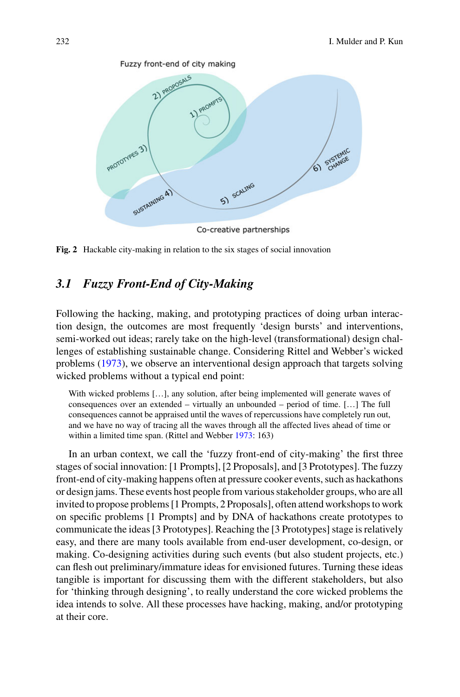

<span id="page-7-0"></span>**Fig. 2** Hackable city-making in relation to the six stages of social innovation

# *3.1 Fuzzy Front-End of City-Making*

Following the hacking, making, and prototyping practices of doing urban interaction design, the outcomes are most frequently 'design bursts' and interventions, semi-worked out ideas; rarely take on the high-level (transformational) design challenges of establishing sustainable change. Considering Rittel and Webber's wicked problems [\(1973\)](#page-12-9), we observe an interventional design approach that targets solving wicked problems without a typical end point:

With wicked problems […], any solution, after being implemented will generate waves of consequences over an extended – virtually an unbounded – period of time. […] The full consequences cannot be appraised until the waves of repercussions have completely run out, and we have no way of tracing all the waves through all the affected lives ahead of time or within a limited time span. (Rittel and Webber [1973:](#page-12-9) 163)

In an urban context, we call the 'fuzzy front-end of city-making' the first three stages of social innovation: [1 Prompts], [2 Proposals], and [3 Prototypes]. The fuzzy front-end of city-making happens often at pressure cooker events, such as hackathons or design jams. These events host people from various stakeholder groups, who are all invited to propose problems [1 Prompts, 2 Proposals], often attend workshops to work on specific problems [1 Prompts] and by DNA of hackathons create prototypes to communicate the ideas [3 Prototypes]. Reaching the [3 Prototypes] stage is relatively easy, and there are many tools available from end-user development, co-design, or making. Co-designing activities during such events (but also student projects, etc.) can flesh out preliminary/immature ideas for envisioned futures. Turning these ideas tangible is important for discussing them with the different stakeholders, but also for 'thinking through designing', to really understand the core wicked problems the idea intends to solve. All these processes have hacking, making, and/or prototyping at their core.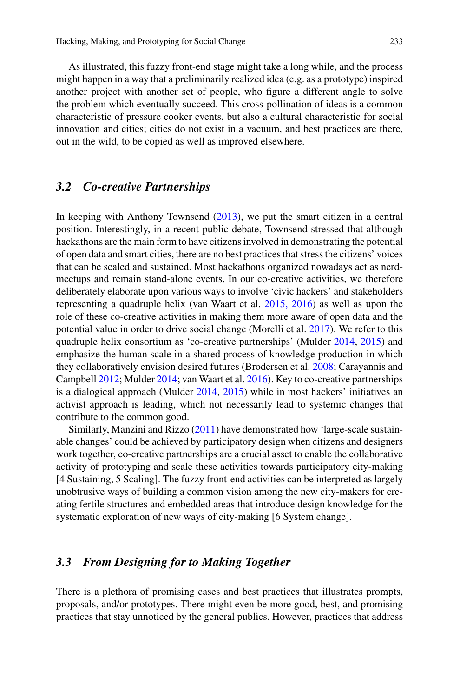As illustrated, this fuzzy front-end stage might take a long while, and the process might happen in a way that a preliminarily realized idea (e.g. as a prototype) inspired another project with another set of people, who figure a different angle to solve the problem which eventually succeed. This cross-pollination of ideas is a common characteristic of pressure cooker events, but also a cultural characteristic for social innovation and cities; cities do not exist in a vacuum, and best practices are there, out in the wild, to be copied as well as improved elsewhere.

#### *3.2 Co-creative Partnerships*

In keeping with Anthony Townsend [\(2013\)](#page-12-10), we put the smart citizen in a central position. Interestingly, in a recent public debate, Townsend stressed that although hackathons are the main form to have citizens involved in demonstrating the potential of open data and smart cities, there are no best practices that stress the citizens' voices that can be scaled and sustained. Most hackathons organized nowadays act as nerdmeetups and remain stand-alone events. In our co-creative activities, we therefore deliberately elaborate upon various ways to involve 'civic hackers' and stakeholders representing a quadruple helix (van Waart et al. [2015, 2016\)](#page-12-11) as well as upon the role of these co-creative activities in making them more aware of open data and the potential value in order to drive social change (Morelli et al. [2017\)](#page-11-12). We refer to this quadruple helix consortium as 'co-creative partnerships' (Mulder [2014,](#page-12-4) [2015\)](#page-12-5) and emphasize the human scale in a shared process of knowledge production in which they collaboratively envision desired futures (Brodersen et al. [2008;](#page-11-13) Carayannis and Campbell [2012;](#page-11-14) Mulder [2014;](#page-12-4) van Waart et al. [2016\)](#page-12-12). Key to co-creative partnerships is a dialogical approach (Mulder [2014,](#page-12-4) [2015\)](#page-12-5) while in most hackers' initiatives an activist approach is leading, which not necessarily lead to systemic changes that contribute to the common good.

Similarly, Manzini and Rizzo [\(2011\)](#page-11-15) have demonstrated how 'large-scale sustainable changes' could be achieved by participatory design when citizens and designers work together, co-creative partnerships are a crucial asset to enable the collaborative activity of prototyping and scale these activities towards participatory city-making [4 Sustaining, 5 Scaling]. The fuzzy front-end activities can be interpreted as largely unobtrusive ways of building a common vision among the new city-makers for creating fertile structures and embedded areas that introduce design knowledge for the systematic exploration of new ways of city-making [6 System change].

# *3.3 From Designing for to Making Together*

There is a plethora of promising cases and best practices that illustrates prompts, proposals, and/or prototypes. There might even be more good, best, and promising practices that stay unnoticed by the general publics. However, practices that address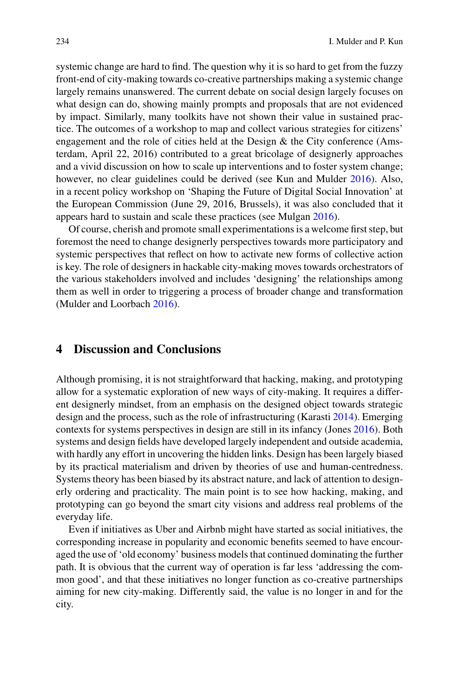systemic change are hard to find. The question why it is so hard to get from the fuzzy front-end of city-making towards co-creative partnerships making a systemic change largely remains unanswered. The current debate on social design largely focuses on what design can do, showing mainly prompts and proposals that are not evidenced by impact. Similarly, many toolkits have not shown their value in sustained practice. The outcomes of a workshop to map and collect various strategies for citizens' engagement and the role of cities held at the Design & the City conference (Amsterdam, April 22, 2016) contributed to a great bricolage of designerly approaches and a vivid discussion on how to scale up interventions and to foster system change; however, no clear guidelines could be derived (see Kun and Mulder [2016\)](#page-11-16). Also, in a recent policy workshop on 'Shaping the Future of Digital Social Innovation' at the European Commission (June 29, 2016, Brussels), it was also concluded that it appears hard to sustain and scale these practices (see Mulgan [2016\)](#page-12-13).

Of course, cherish and promote small experimentations is a welcome first step, but foremost the need to change designerly perspectives towards more participatory and systemic perspectives that reflect on how to activate new forms of collective action is key. The role of designers in hackable city-making moves towards orchestrators of the various stakeholders involved and includes 'designing' the relationships among them as well in order to triggering a process of broader change and transformation (Mulder and Loorbach [2016\)](#page-12-14).

# **4 Discussion and Conclusions**

Although promising, it is not straightforward that hacking, making, and prototyping allow for a systematic exploration of new ways of city-making. It requires a different designerly mindset, from an emphasis on the designed object towards strategic design and the process, such as the role of infrastructuring (Karasti [2014\)](#page-11-17). Emerging contexts for systems perspectives in design are still in its infancy (Jones [2016\)](#page-11-18). Both systems and design fields have developed largely independent and outside academia, with hardly any effort in uncovering the hidden links. Design has been largely biased by its practical materialism and driven by theories of use and human-centredness. Systems theory has been biased by its abstract nature, and lack of attention to designerly ordering and practicality. The main point is to see how hacking, making, and prototyping can go beyond the smart city visions and address real problems of the everyday life.

Even if initiatives as Uber and Airbnb might have started as social initiatives, the corresponding increase in popularity and economic benefits seemed to have encouraged the use of 'old economy' business models that continued dominating the further path. It is obvious that the current way of operation is far less 'addressing the common good', and that these initiatives no longer function as co-creative partnerships aiming for new city-making. Differently said, the value is no longer in and for the city.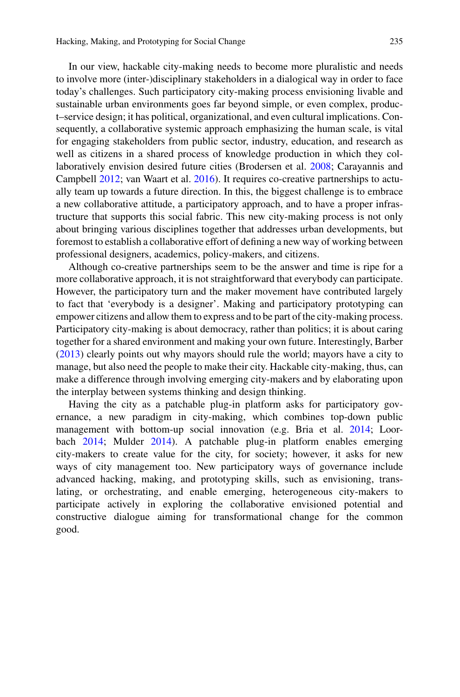In our view, hackable city-making needs to become more pluralistic and needs to involve more (inter-)disciplinary stakeholders in a dialogical way in order to face today's challenges. Such participatory city-making process envisioning livable and sustainable urban environments goes far beyond simple, or even complex, product–service design; it has political, organizational, and even cultural implications. Consequently, a collaborative systemic approach emphasizing the human scale, is vital for engaging stakeholders from public sector, industry, education, and research as well as citizens in a shared process of knowledge production in which they collaboratively envision desired future cities (Brodersen et al. [2008;](#page-11-13) Carayannis and Campbell [2012;](#page-11-14) van Waart et al. [2016\)](#page-12-12). It requires co-creative partnerships to actually team up towards a future direction. In this, the biggest challenge is to embrace a new collaborative attitude, a participatory approach, and to have a proper infrastructure that supports this social fabric. This new city-making process is not only about bringing various disciplines together that addresses urban developments, but foremost to establish a collaborative effort of defining a new way of working between professional designers, academics, policy-makers, and citizens.

Although co-creative partnerships seem to be the answer and time is ripe for a more collaborative approach, it is not straightforward that everybody can participate. However, the participatory turn and the maker movement have contributed largely to fact that 'everybody is a designer'. Making and participatory prototyping can empower citizens and allow them to express and to be part of the city-making process. Participatory city-making is about democracy, rather than politics; it is about caring together for a shared environment and making your own future. Interestingly, Barber [\(2013\)](#page-11-19) clearly points out why mayors should rule the world; mayors have a city to manage, but also need the people to make their city. Hackable city-making, thus, can make a difference through involving emerging city-makers and by elaborating upon the interplay between systems thinking and design thinking.

Having the city as a patchable plug-in platform asks for participatory governance, a new paradigm in city-making, which combines top-down public management with bottom-up social innovation (e.g. Bria et al. [2014;](#page-11-20) Loorbach [2014;](#page-11-21) Mulder [2014\)](#page-12-4). A patchable plug-in platform enables emerging city-makers to create value for the city, for society; however, it asks for new ways of city management too. New participatory ways of governance include advanced hacking, making, and prototyping skills, such as envisioning, translating, or orchestrating, and enable emerging, heterogeneous city-makers to participate actively in exploring the collaborative envisioned potential and constructive dialogue aiming for transformational change for the common good.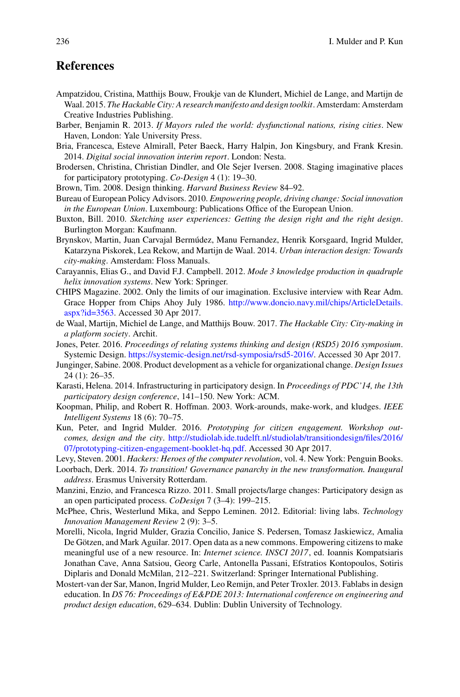# **References**

- <span id="page-11-4"></span>Ampatzidou, Cristina, Matthijs Bouw, Froukje van de Klundert, Michiel de Lange, and Martijn de Waal. 2015. *The Hackable City: A research manifesto and design toolkit*. Amsterdam: Amsterdam Creative Industries Publishing.
- <span id="page-11-19"></span>Barber, Benjamin R. 2013. *If Mayors ruled the world: dysfunctional nations, rising cities*. New Haven, London: Yale University Press.
- <span id="page-11-20"></span>Bria, Francesca, Esteve Almirall, Peter Baeck, Harry Halpin, Jon Kingsbury, and Frank Kresin. 2014. *Digital social innovation interim report*. London: Nesta.
- <span id="page-11-13"></span>Brodersen, Christina, Christian Dindler, and Ole Sejer Iversen. 2008. Staging imaginative places for participatory prototyping. *Co-Design* 4 (1): 19–30.
- <span id="page-11-7"></span>Brown, Tim. 2008. Design thinking. *Harvard Business Review* 84–92.
- <span id="page-11-11"></span>Bureau of European Policy Advisors. 2010. *Empowering people, driving change: Social innovation in the European Union*. Luxembourg: Publications Office of the European Union.
- <span id="page-11-9"></span>Buxton, Bill. 2010. *Sketching user experiences: Getting the design right and the right design*. Burlington Morgan: Kaufmann.
- <span id="page-11-0"></span>Brynskov, Martin, Juan Carvajal Bermúdez, Manu Fernandez, Henrik Korsgaard, Ingrid Mulder, Katarzyna Piskorek, Lea Rekow, and Martijn de Waal. 2014. *Urban interaction design: Towards city-making*. Amsterdam: Floss Manuals.
- <span id="page-11-14"></span>Carayannis, Elias G., and David F.J. Campbell. 2012. *Mode 3 knowledge production in quadruple helix innovation systems*. New York: Springer.
- <span id="page-11-5"></span>CHIPS Magazine. 2002. Only the limits of our imagination. Exclusive interview with Rear Adm. Grace Hopper from Chips Ahoy July 1986. [http://www.doncio.navy.mil/chips/ArticleDetails.](http://www.doncio.navy.mil/chips/ArticleDetails.aspx?id=3563) aspx?id=3563. Accessed 30 Apr 2017.
- <span id="page-11-1"></span>de Waal, Martijn, Michiel de Lange, and Matthijs Bouw. 2017. *The Hackable City: City-making in a platform society*. Archit.
- <span id="page-11-18"></span>Jones, Peter. 2016. *Proceedings of relating systems thinking and design (RSD5) 2016 symposium*. Systemic Design. [https://systemic-design.net/rsd-symposia/rsd5-2016/.](https://systemic-design.net/rsd-symposia/rsd5-2016/) Accessed 30 Apr 2017.
- <span id="page-11-10"></span>Junginger, Sabine. 2008. Product development as a vehicle for organizational change. *Design Issues* 24 (1): 26–35.
- <span id="page-11-17"></span>Karasti, Helena. 2014. Infrastructuring in participatory design. In *Proceedings of PDC'14, the 13th participatory design conference*, 141–150. New York: ACM.
- <span id="page-11-3"></span>Koopman, Philip, and Robert R. Hoffman. 2003. Work-arounds, make-work, and kludges. *IEEE Intelligent Systems* 18 (6): 70–75.
- <span id="page-11-16"></span>Kun, Peter, and Ingrid Mulder. 2016. *Prototyping for citizen engagement. Workshop outcomes, design and the city*. http://studiolab.ide.tudelft.nl/studiolab/transitiondesign/files/2016/ [07/prototyping-citizen-engagement-booklet-hq.pdf. Accessed 30 Apr 2017.](http://studiolab.ide.tudelft.nl/studiolab/transitiondesign/files/2016/07/prototyping-citizen-engagement-booklet-hq.pdf)
- <span id="page-11-2"></span>Levy, Steven. 2001. *Hackers: Heroes of the computer revolution*, vol. 4. New York: Penguin Books.
- <span id="page-11-21"></span>Loorbach, Derk. 2014. *To transition! Governance panarchy in the new transformation. Inaugural address*. Erasmus University Rotterdam.
- <span id="page-11-15"></span>Manzini, Enzio, and Francesca Rizzo. 2011. Small projects/large changes: Participatory design as an open participated process. *CoDesign* 7 (3–4): 199–215.
- <span id="page-11-8"></span>McPhee, Chris, Westerlund Mika, and Seppo Leminen. 2012. Editorial: living labs. *Technology Innovation Management Review* 2 (9): 3–5.
- <span id="page-11-12"></span>Morelli, Nicola, Ingrid Mulder, Grazia Concilio, Janice S. Pedersen, Tomasz Jaskiewicz, Amalia De Götzen, and Mark Aguilar. 2017. Open data as a new commons. Empowering citizens to make meaningful use of a new resource. In: *Internet science. INSCI 2017*, ed. Ioannis Kompatsiaris Jonathan Cave, Anna Satsiou, Georg Carle, Antonella Passani, Efstratios Kontopoulos, Sotiris Diplaris and Donald McMilan, 212–221. Switzerland: Springer International Publishing.
- <span id="page-11-6"></span>Mostert-van der Sar, Manon, Ingrid Mulder, Leo Remijn, and Peter Troxler. 2013. Fablabs in design education. In *DS 76: Proceedings of E&PDE 2013: International conference on engineering and product design education*, 629–634. Dublin: Dublin University of Technology.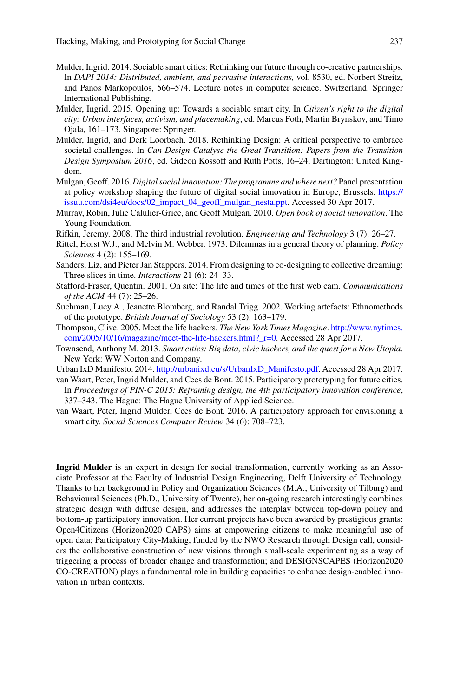- <span id="page-12-4"></span>Mulder, Ingrid. 2014. Sociable smart cities: Rethinking our future through co-creative partnerships. In *DAPI 2014: Distributed, ambient, and pervasive interactions,* vol. 8530, ed. Norbert Streitz, and Panos Markopoulos, 566–574. Lecture notes in computer science. Switzerland: Springer International Publishing.
- <span id="page-12-5"></span>Mulder, Ingrid. 2015. Opening up: Towards a sociable smart city. In *Citizen's right to the digital city: Urban interfaces, activism, and placemaking*, ed. Marcus Foth, Martin Brynskov, and Timo Ojala, 161–173. Singapore: Springer.
- <span id="page-12-14"></span>Mulder, Ingrid, and Derk Loorbach. 2018. Rethinking Design: A critical perspective to embrace societal challenges. In *Can Design Catalyse the Great Transition: Papers from the Transition Design Symposium 2016*, ed. Gideon Kossoff and Ruth Potts, 16–24, Dartington: United Kingdom.
- <span id="page-12-13"></span>Mulgan, Geoff. 2016. *Digital social innovation: The programme and where next?* Panel presentation [at policy workshop shaping the future of digital social innovation in Europe, Brussels.](https://issuu.com/dsi4eu/docs/02_impact_04_geoff_mulgan_nesta.ppt) https:// issuu.com/dsi4eu/docs/02\_impact\_04\_geoff\_mulgan\_nesta.ppt. Accessed 30 Apr 2017.
- <span id="page-12-8"></span>Murray, Robin, Julie Calulier-Grice, and Geoff Mulgan. 2010. *Open book of social innovation*. The Young Foundation.
- <span id="page-12-3"></span>Rifkin, Jeremy. 2008. The third industrial revolution. *Engineering and Technology* 3 (7): 26–27.
- <span id="page-12-9"></span>Rittel, Horst W.J., and Melvin M. Webber. 1973. Dilemmas in a general theory of planning. *Policy Sciences* 4 (2): 155–169.
- <span id="page-12-6"></span>Sanders, Liz, and Pieter Jan Stappers. 2014. From designing to co-designing to collective dreaming: Three slices in time. *Interactions* 21 (6): 24–33.
- <span id="page-12-2"></span>Stafford-Fraser, Quentin. 2001. On site: The life and times of the first web cam. *Communications of the ACM* 44 (7): 25–26.
- <span id="page-12-7"></span>Suchman, Lucy A., Jeanette Blomberg, and Randal Trigg. 2002. Working artefacts: Ethnomethods of the prototype. *British Journal of Sociology* 53 (2): 163–179.
- <span id="page-12-1"></span>Thompson, Clive. 2005. Meet the life hackers. *The New York Times Magazine*. http://www.nytimes. [com/2005/10/16/magazine/meet-the-life-hackers.html?\\_r=0. Accessed 28 Apr 2017.](http://www.nytimes.com/2005/10/16/magazine/meet-the-life-hackers.html%3f_r%3d0)
- <span id="page-12-10"></span>Townsend, Anthony M. 2013. *Smart cities: Big data, civic hackers, and the quest for a New Utopia*. New York: WW Norton and Company.

<span id="page-12-0"></span>Urban IxD Manifesto. 2014. [http://urbanixd.eu/s/UrbanIxD\\_Manifesto.pdf.](http://urbanixd.eu/s/UrbanIxD_Manifesto.pdf) Accessed 28 Apr 2017.

- <span id="page-12-11"></span>van Waart, Peter, Ingrid Mulder, and Cees de Bont. 2015. Participatory prototyping for future cities. In *Proceedings of PIN-C 2015: Reframing design, the 4th participatory innovation conference*, 337–343. The Hague: The Hague University of Applied Science.
- <span id="page-12-12"></span>van Waart, Peter, Ingrid Mulder, Cees de Bont. 2016. A participatory approach for envisioning a smart city. *Social Sciences Computer Review* 34 (6): 708–723.

**Ingrid Mulder** is an expert in design for social transformation, currently working as an Associate Professor at the Faculty of Industrial Design Engineering, Delft University of Technology. Thanks to her background in Policy and Organization Sciences (M.A., University of Tilburg) and Behavioural Sciences (Ph.D., University of Twente), her on-going research interestingly combines strategic design with diffuse design, and addresses the interplay between top-down policy and bottom-up participatory innovation. Her current projects have been awarded by prestigious grants: Open4Citizens (Horizon2020 CAPS) aims at empowering citizens to make meaningful use of open data; Participatory City-Making, funded by the NWO Research through Design call, considers the collaborative construction of new visions through small-scale experimenting as a way of triggering a process of broader change and transformation; and DESIGNSCAPES (Horizon2020 CO-CREATION) plays a fundamental role in building capacities to enhance design-enabled innovation in urban contexts.